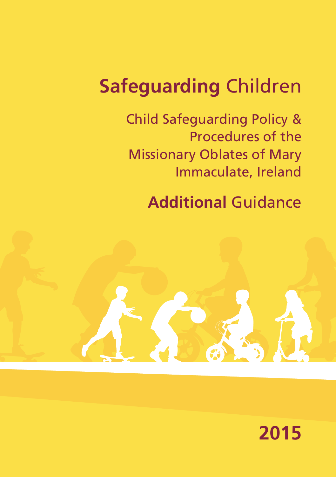# **Safeguarding** Children

Child Safeguarding Policy & Procedures of the Missionary Oblates of Mary Immaculate, Ireland

**Additional** Guidance

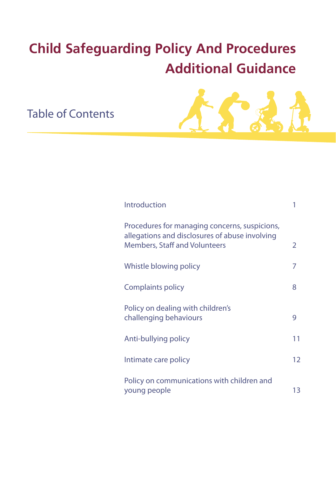## **Child Safeguarding Policy And Procedures Additional Guidance**

Table of Contents



| Introduction                                                                                                                            |    |
|-----------------------------------------------------------------------------------------------------------------------------------------|----|
| Procedures for managing concerns, suspicions,<br>allegations and disclosures of abuse involving<br><b>Members, Staff and Volunteers</b> | 2  |
| Whistle blowing policy                                                                                                                  | 7  |
| Complaints policy                                                                                                                       | 8  |
| Policy on dealing with children's<br>challenging behaviours                                                                             | 9  |
| Anti-bullying policy                                                                                                                    | 11 |
| Intimate care policy                                                                                                                    | 12 |
| Policy on communications with children and<br>young people                                                                              | 13 |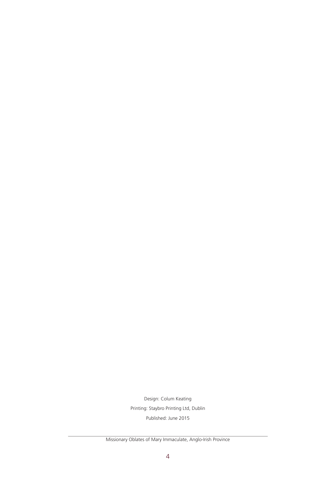Design: Colum Keating Printing: Staybro Printing Ltd, Dublin Published: June 2015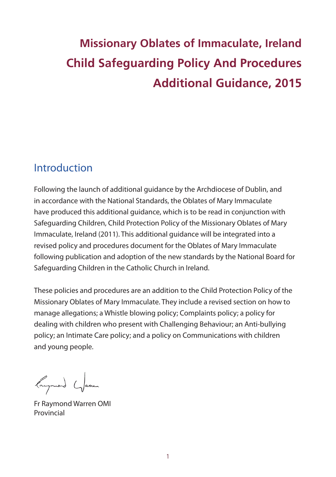## **Missionary Oblates of Immaculate, Ireland Child Safeguarding Policy And Procedures Additional Guidance, 2015**

### Introduction

Following the launch of additional guidance by the Archdiocese of Dublin, and in accordance with the National Standards, the Oblates of Mary Immaculate have produced this additional guidance, which is to be read in conjunction with Safeguarding Children, Child Protection Policy of the Missionary Oblates of Mary Immaculate, Ireland (2011). This additional guidance will be integrated into a revised policy and procedures document for the Oblates of Mary Immaculate following publication and adoption of the new standards by the National Board for Safeguarding Children in the Catholic Church in Ireland.

These policies and procedures are an addition to the Child Protection Policy of the Missionary Oblates of Mary Immaculate. They include a revised section on how to manage allegations; a Whistle blowing policy; Complaints policy; a policy for dealing with children who present with Challenging Behaviour; an Anti-bullying policy; an Intimate Care policy; and a policy on Communications with children and young people.

largonond Games

Fr Raymond Warren OMI Provincial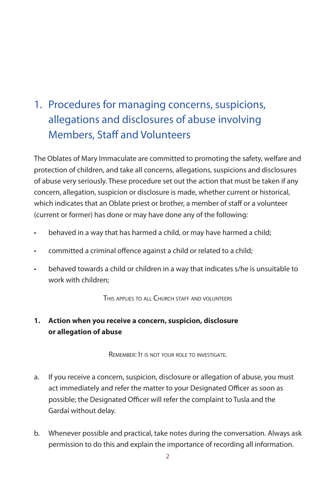## 1. Procedures for managing concerns, suspicions, allegations and disclosures of abuse involving Members, Staff and Volunteers

The Oblates of Mary Immaculate are committed to promoting the safety, welfare and protection of children, and take all concerns, allegations, suspicions and disclosures of abuse very seriously. These procedure set out the action that must be taken if any concern, allegation, suspicion or disclosure is made, whether current or historical, which indicates that an Oblate priest or brother, a member of staff or a volunteer (current or former) has done or may have done any of the following:

- behaved in a way that has harmed a child, or may have harmed a child;
- committed a criminal offence against a child or related to a child;
- behaved towards a child or children in a way that indicates s/he is unsuitable to work with children;

THIS APPLIES TO ALL CHURCH STAFF AND VOLUNTEERS

#### **1. Action when you receive a concern, suspicion, disclosure or allegation of abuse**

Remember: It is not your role to investigate.

- a. If you receive a concern, suspicion, disclosure or allegation of abuse, you must act immediately and refer the matter to your Designated Officer as soon as possible; the Designated Officer will refer the complaint to Tusla and the Gardaí without delay.
- b. Whenever possible and practical, take notes during the conversation. Always ask permission to do this and explain the importance of recording all information.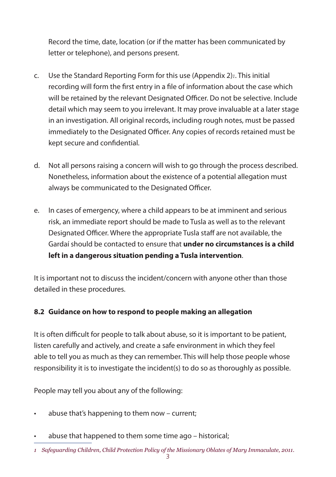Record the time, date, location (or if the matter has been communicated by letter or telephone), and persons present.

- c. Use the Standard Reporting Form for this use (Appendix 2)*1*. This initial recording will form the first entry in a file of information about the case which will be retained by the relevant Designated Officer. Do not be selective. Include detail which may seem to you irrelevant. It may prove invaluable at a later stage in an investigation. All original records, including rough notes, must be passed immediately to the Designated Officer. Any copies of records retained must be kept secure and confidential.
- d. Not all persons raising a concern will wish to go through the process described. Nonetheless, information about the existence of a potential allegation must always be communicated to the Designated Officer.
- e. In cases of emergency, where a child appears to be at imminent and serious risk, an immediate report should be made to Tusla as well as to the relevant Designated Officer. Where the appropriate Tusla staff are not available, the Gardaí should be contacted to ensure that **under no circumstances is a child left in a dangerous situation pending a Tusla intervention**.

It is important not to discuss the incident/concern with anyone other than those detailed in these procedures.

#### **8.2 Guidance on how to respond to people making an allegation**

It is often difficult for people to talk about abuse, so it is important to be patient, listen carefully and actively, and create a safe environment in which they feel able to tell you as much as they can remember. This will help those people whose responsibility it is to investigate the incident(s) to do so as thoroughly as possible.

People may tell you about any of the following:

- abuse that's happening to them now  $-$  current;
- abuse that happened to them some time ago historical;

*<sup>1</sup> Safeguarding Children, Child Protection Policy of the Missionary Oblates of Mary Immaculate, 2011.*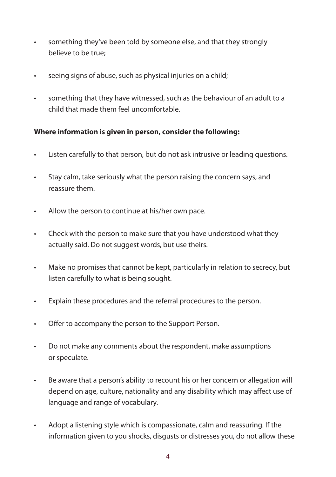- • something they've been told by someone else, and that they strongly believe to be true;
- • seeing signs of abuse, such as physical injuries on a child;
- • something that they have witnessed, such as the behaviour of an adult to a child that made them feel uncomfortable.

#### **Where information is given in person, consider the following:**

- • Listen carefully to that person, but do not ask intrusive or leading questions.
- • Stay calm, take seriously what the person raising the concern says, and reassure them.
- • Allow the person to continue at his/her own pace.
- Check with the person to make sure that you have understood what they actually said. Do not suggest words, but use theirs.
- • Make no promises that cannot be kept, particularly in relation to secrecy, but listen carefully to what is being sought.
- • Explain these procedures and the referral procedures to the person.
- • Offer to accompany the person to the Support Person.
- • Do not make any comments about the respondent, make assumptions or speculate.
- • Be aware that a person's ability to recount his or her concern or allegation will depend on age, culture, nationality and any disability which may affect use of language and range of vocabulary.
- • Adopt a listening style which is compassionate, calm and reassuring. If the information given to you shocks, disgusts or distresses you, do not allow these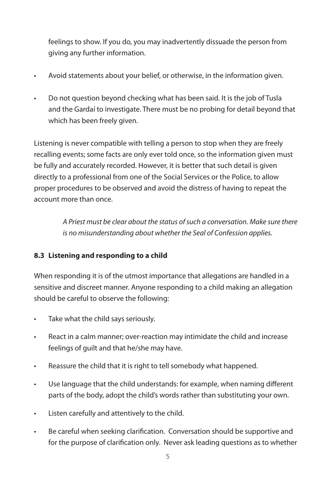feelings to show. If you do, you may inadvertently dissuade the person from giving any further information.

- • Avoid statements about your belief, or otherwise, in the information given.
- Do not question beyond checking what has been said. It is the job of Tusla and the Gardaí to investigate. There must be no probing for detail beyond that which has been freely given.

Listening is never compatible with telling a person to stop when they are freely recalling events; some facts are only ever told once, so the information given must be fully and accurately recorded. However, it is better that such detail is given directly to a professional from one of the Social Services or the Police, to allow proper procedures to be observed and avoid the distress of having to repeat the account more than once.

> *A Priest must be clear about the status of such a conversation. Make sure there is no misunderstanding about whether the Seal of Confession applies.*

#### **8.3 Listening and responding to a child**

When responding it is of the utmost importance that allegations are handled in a sensitive and discreet manner. Anyone responding to a child making an allegation should be careful to observe the following:

- Take what the child says seriously.
- React in a calm manner; over-reaction may intimidate the child and increase feelings of guilt and that he/she may have.
- • Reassure the child that it is right to tell somebody what happened.
- • Use language that the child understands: for example, when naming different parts of the body, adopt the child's words rather than substituting your own.
- • Listen carefully and attentively to the child.
- • Be careful when seeking clarification. Conversation should be supportive and for the purpose of clarification only. Never ask leading questions as to whether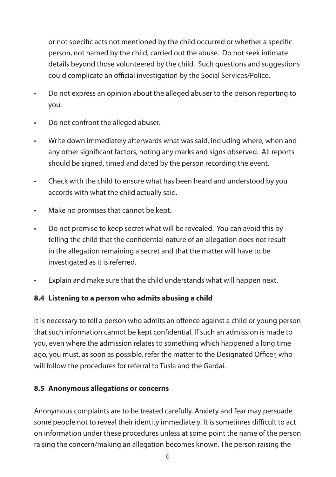or not specific acts not mentioned by the child occurred or whether a specific person, not named by the child, carried out the abuse. Do not seek intimate details beyond those volunteered by the child. Such questions and suggestions could complicate an official investigation by the Social Services/Police.

- • Do not express an opinion about the alleged abuser to the person reporting to you.
- Do not confront the alleged abuser.
- Write down immediately afterwards what was said, including where, when and any other significant factors, noting any marks and signs observed. All reports should be signed, timed and dated by the person recording the event.
- • Check with the child to ensure what has been heard and understood by you accords with what the child actually said.
- Make no promises that cannot be kept.
- Do not promise to keep secret what will be revealed. You can avoid this by telling the child that the confidential nature of an allegation does not result in the allegation remaining a secret and that the matter will have to be investigated as it is referred.
- Explain and make sure that the child understands what will happen next.

#### **8.4 Listening to a person who admits abusing a child**

It is necessary to tell a person who admits an offence against a child or young person that such information cannot be kept confidential. If such an admission is made to you, even where the admission relates to something which happened a long time ago, you must, as soon as possible, refer the matter to the Designated Officer, who will follow the procedures for referral to Tusla and the Gardaí.

#### **8.5 Anonymous allegations or concerns**

Anonymous complaints are to be treated carefully. Anxiety and fear may persuade some people not to reveal their identity immediately. It is sometimes difficult to act on information under these procedures unless at some point the name of the person raising the concern/making an allegation becomes known. The person raising the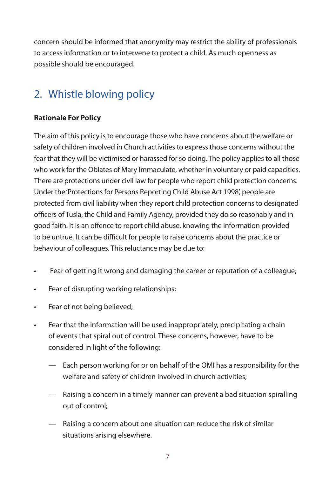concern should be informed that anonymity may restrict the ability of professionals to access information or to intervene to protect a child. As much openness as possible should be encouraged.

## 2. Whistle blowing policy

#### **Rationale For Policy**

The aim of this policy is to encourage those who have concerns about the welfare or safety of children involved in Church activities to express those concerns without the fear that they will be victimised or harassed for so doing. The policy applies to all those who work for the Oblates of Mary Immaculate, whether in voluntary or paid capacities. There are protections under civil law for people who report child protection concerns. Under the 'Protections for Persons Reporting Child Abuse Act 1998', people are protected from civil liability when they report child protection concerns to designated officers of Tusla, the Child and Family Agency, provided they do so reasonably and in good faith. It is an offence to report child abuse, knowing the information provided to be untrue. It can be difficult for people to raise concerns about the practice or behaviour of colleagues. This reluctance may be due to:

- • Fear of getting it wrong and damaging the career or reputation of a colleague;
- • Fear of disrupting working relationships;
- Fear of not being believed;
- Fear that the information will be used inappropriately, precipitating a chain of events that spiral out of control. These concerns, however, have to be considered in light of the following:
	- Each person working for or on behalf of the OMI has a responsibility for the welfare and safety of children involved in church activities;
	- Raising a concern in a timely manner can prevent a bad situation spiralling out of control;
	- Raising a concern about one situation can reduce the risk of similar situations arising elsewhere.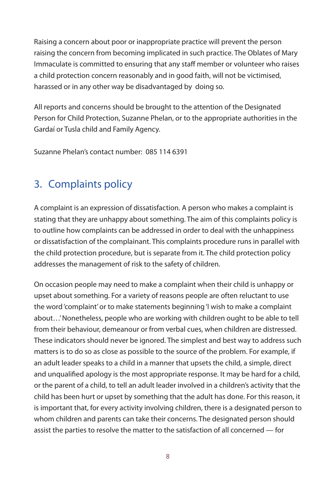Raising a concern about poor or inappropriate practice will prevent the person raising the concern from becoming implicated in such practice. The Oblates of Mary Immaculate is committed to ensuring that any staff member or volunteer who raises a child protection concern reasonably and in good faith, will not be victimised, harassed or in any other way be disadvantaged by doing so.

All reports and concerns should be brought to the attention of the Designated Person for Child Protection, Suzanne Phelan, or to the appropriate authorities in the Gardaí or Tusla child and Family Agency.

Suzanne Phelan's contact number: 085 114 6391

## 3. Complaints policy

A complaint is an expression of dissatisfaction. A person who makes a complaint is stating that they are unhappy about something. The aim of this complaints policy is to outline how complaints can be addressed in order to deal with the unhappiness or dissatisfaction of the complainant. This complaints procedure runs in parallel with the child protection procedure, but is separate from it. The child protection policy addresses the management of risk to the safety of children.

On occasion people may need to make a complaint when their child is unhappy or upset about something. For a variety of reasons people are often reluctant to use the word 'complaint' or to make statements beginning 'I wish to make a complaint about…' Nonetheless, people who are working with children ought to be able to tell from their behaviour, demeanour or from verbal cues, when children are distressed. These indicators should never be ignored. The simplest and best way to address such matters is to do so as close as possible to the source of the problem. For example, if an adult leader speaks to a child in a manner that upsets the child, a simple, direct and unqualified apology is the most appropriate response. It may be hard for a child, or the parent of a child, to tell an adult leader involved in a children's activity that the child has been hurt or upset by something that the adult has done. For this reason, it is important that, for every activity involving children, there is a designated person to whom children and parents can take their concerns. The designated person should assist the parties to resolve the matter to the satisfaction of all concerned — for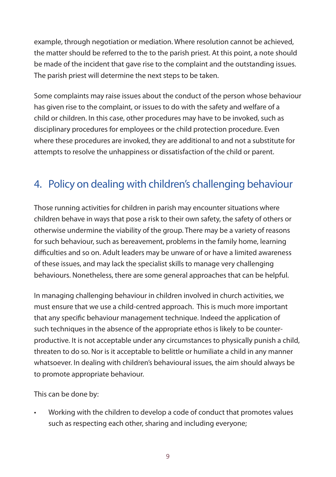example, through negotiation or mediation. Where resolution cannot be achieved, the matter should be referred to the to the parish priest. At this point, a note should be made of the incident that gave rise to the complaint and the outstanding issues. The parish priest will determine the next steps to be taken.

Some complaints may raise issues about the conduct of the person whose behaviour has given rise to the complaint, or issues to do with the safety and welfare of a child or children. In this case, other procedures may have to be invoked, such as disciplinary procedures for employees or the child protection procedure. Even where these procedures are invoked, they are additional to and not a substitute for attempts to resolve the unhappiness or dissatisfaction of the child or parent.

## 4. Policy on dealing with children's challenging behaviour

Those running activities for children in parish may encounter situations where children behave in ways that pose a risk to their own safety, the safety of others or otherwise undermine the viability of the group. There may be a variety of reasons for such behaviour, such as bereavement, problems in the family home, learning difficulties and so on. Adult leaders may be unware of or have a limited awareness of these issues, and may lack the specialist skills to manage very challenging behaviours. Nonetheless, there are some general approaches that can be helpful.

In managing challenging behaviour in children involved in church activities, we must ensure that we use a child-centred approach. This is much more important that any specific behaviour management technique. Indeed the application of such techniques in the absence of the appropriate ethos is likely to be counterproductive. It is not acceptable under any circumstances to physically punish a child, threaten to do so. Nor is it acceptable to belittle or humiliate a child in any manner whatsoever. In dealing with children's behavioural issues, the aim should always be to promote appropriate behaviour.

This can be done by:

Working with the children to develop a code of conduct that promotes values such as respecting each other, sharing and including everyone;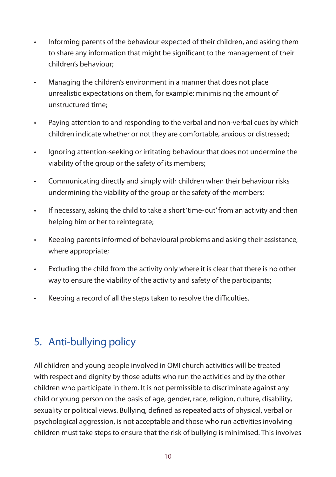- • Informing parents of the behaviour expected of their children, and asking them to share any information that might be significant to the management of their children's behaviour;
- Managing the children's environment in a manner that does not place unrealistic expectations on them, for example: minimising the amount of unstructured time;
- • Paying attention to and responding to the verbal and non-verbal cues by which children indicate whether or not they are comfortable, anxious or distressed;
- • Ignoring attention-seeking or irritating behaviour that does not undermine the viability of the group or the safety of its members;
- • Communicating directly and simply with children when their behaviour risks undermining the viability of the group or the safety of the members;
- • If necessary, asking the child to take a short 'time-out' from an activity and then helping him or her to reintegrate;
- • Keeping parents informed of behavioural problems and asking their assistance, where appropriate;
- • Excluding the child from the activity only where it is clear that there is no other way to ensure the viability of the activity and safety of the participants;
- • Keeping a record of all the steps taken to resolve the difficulties.

## 5. Anti-bullying policy

All children and young people involved in OMI church activities will be treated with respect and dignity by those adults who run the activities and by the other children who participate in them. It is not permissible to discriminate against any child or young person on the basis of age, gender, race, religion, culture, disability, sexuality or political views. Bullying, defined as repeated acts of physical, verbal or psychological aggression, is not acceptable and those who run activities involving children must take steps to ensure that the risk of bullying is minimised. This involves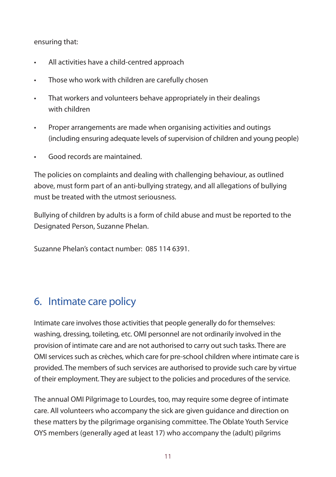ensuring that:

- • All activities have a child-centred approach
- Those who work with children are carefully chosen
- That workers and volunteers behave appropriately in their dealings with children
- • Proper arrangements are made when organising activities and outings (including ensuring adequate levels of supervision of children and young people)
- Good records are maintained

The policies on complaints and dealing with challenging behaviour, as outlined above, must form part of an anti-bullying strategy, and all allegations of bullying must be treated with the utmost seriousness.

Bullying of children by adults is a form of child abuse and must be reported to the Designated Person, Suzanne Phelan.

Suzanne Phelan's contact number: 085 114 6391.

## 6. Intimate care policy

Intimate care involves those activities that people generally do for themselves: washing, dressing, toileting, etc. OMI personnel are not ordinarily involved in the provision of intimate care and are not authorised to carry out such tasks. There are OMI services such as crèches, which care for pre-school children where intimate care is provided. The members of such services are authorised to provide such care by virtue of their employment. They are subject to the policies and procedures of the service.

The annual OMI Pilgrimage to Lourdes, too, may require some degree of intimate care. All volunteers who accompany the sick are given guidance and direction on these matters by the pilgrimage organising committee. The Oblate Youth Service OYS members (generally aged at least 17) who accompany the (adult) pilgrims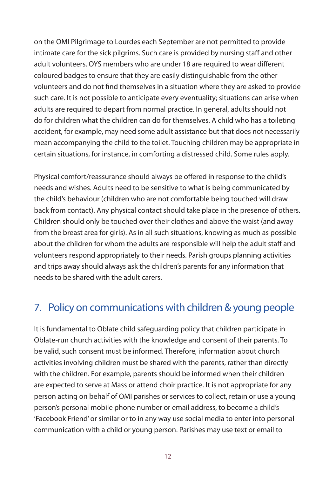on the OMI Pilgrimage to Lourdes each September are not permitted to provide intimate care for the sick pilgrims. Such care is provided by nursing staff and other adult volunteers. OYS members who are under 18 are required to wear different coloured badges to ensure that they are easily distinguishable from the other volunteers and do not find themselves in a situation where they are asked to provide such care. It is not possible to anticipate every eventuality; situations can arise when adults are required to depart from normal practice. In general, adults should not do for children what the children can do for themselves. A child who has a toileting accident, for example, may need some adult assistance but that does not necessarily mean accompanying the child to the toilet. Touching children may be appropriate in certain situations, for instance, in comforting a distressed child. Some rules apply.

Physical comfort/reassurance should always be offered in response to the child's needs and wishes. Adults need to be sensitive to what is being communicated by the child's behaviour (children who are not comfortable being touched will draw back from contact). Any physical contact should take place in the presence of others. Children should only be touched over their clothes and above the waist (and away from the breast area for girls). As in all such situations, knowing as much as possible about the children for whom the adults are responsible will help the adult staff and volunteers respond appropriately to their needs. Parish groups planning activities and trips away should always ask the children's parents for any information that needs to be shared with the adult carers.

## 7. Policy on communications with children & young people

It is fundamental to Oblate child safeguarding policy that children participate in Oblate-run church activities with the knowledge and consent of their parents. To be valid, such consent must be informed. Therefore, information about church activities involving children must be shared with the parents, rather than directly with the children. For example, parents should be informed when their children are expected to serve at Mass or attend choir practice. It is not appropriate for any person acting on behalf of OMI parishes or services to collect, retain or use a young person's personal mobile phone number or email address, to become a child's 'Facebook Friend' or similar or to in any way use social media to enter into personal communication with a child or young person. Parishes may use text or email to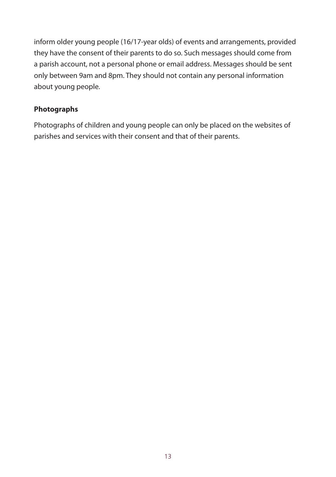inform older young people (16/17-year olds) of events and arrangements, provided they have the consent of their parents to do so. Such messages should come from a parish account, not a personal phone or email address. Messages should be sent only between 9am and 8pm. They should not contain any personal information about young people.

#### **Photographs**

Photographs of children and young people can only be placed on the websites of parishes and services with their consent and that of their parents.